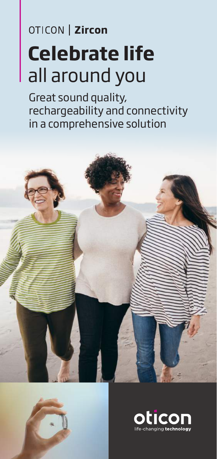# OTICON | Zircon **Celebrate life**  all around you

Great sound quality, rechargeability and connectivity in a comprehensive solution





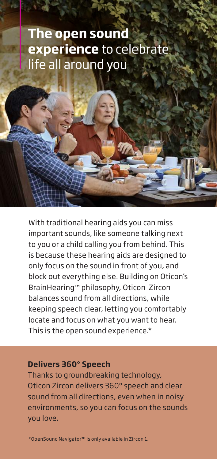### **The open sound experience** to celebrate life all around you

With traditional hearing aids you can miss important sounds, like someone talking next to you or a child calling you from behind. This is because these hearing aids are designed to only focus on the sound in front of you, and block out everything else. Building on Oticon's BrainHearing™ philosophy, Oticon Zircon balances sound from all directions, while keeping speech clear, letting you comfortably locate and focus on what you want to hear. This is the open sound experience.\*

#### **Delivers 360° Speech**

Thanks to groundbreaking technology, Oticon Zircon delivers 360° speech and clear sound from all directions, even when in noisy environments, so you can focus on the sounds you love.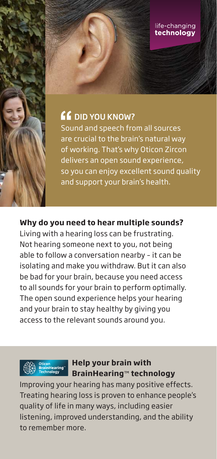### **CC** DID YOU KNOW?

Sound and speech from all sources are crucial to the brain's natural way of working. That's why Oticon Zircon delivers an open sound experience, so you can enjoy excellent sound quality and support your brain's health.

life-changing technology

#### **Why do you need to hear multiple sounds?**

Living with a hearing loss can be frustrating. Not hearing someone next to you, not being able to follow a conversation nearby – it can be isolating and make you withdraw. But it can also be bad for your brain, because you need access to all sounds for your brain to perform optimally. The open sound experience helps your hearing and your brain to stay healthy by giving you access to the relevant sounds around you.



#### **Help your brain with BrainHearing**™ **technology**

Improving your hearing has many positive effects. Treating hearing loss is proven to enhance people's quality of life in many ways, including easier listening, improved understanding, and the ability to remember more.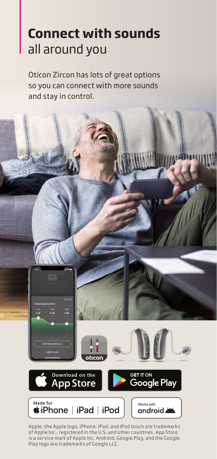# **Connect with sounds**  all around you

Oticon Zircon has lots of great options so you can connect with more sounds and stay in control.



Apple, the Apple logo, iPhone, iPad, and iPod touch are trademarks of Apple Inc., registered in the U.S. and other countries. App Store is a service mark of Apple Inc. Android, Google Play, and the Google Play logo are trademarks of Google LLC.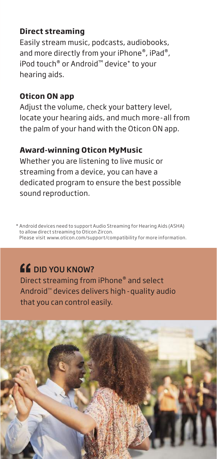#### **Direct streaming**

Easily stream music, podcasts, audiobooks, and more directly from your iPhone®, iPad®, iPod touch® or Android™ device\* to your hearing aids.

#### **Oticon ON app**

Adiust the volume, check your battery level, locate your hearing aids, and much more-all from the palm of your hand with the Oticon ON app.

#### **Award-winning Oticon MyMusic**

Whether you are listening to live music or streaming from a device, you can have a dedicated program to ensure the best possible sound reproduction.

\* Android devices need to support Audio Streaming for Hearing Aids (ASHA) to allow direct streaming to Oticon Zircon. Please visit www.oticon.com/support/compatibility for more information.

### **CG** DID YOU KNOW?

Direct streaming from iPhone® and select Android<sup>™</sup> devices delivers high - quality audio that you can control easily.

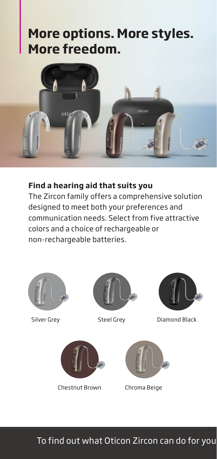# **More options. More styles. More freedom.**



#### **Find a hearing aid that suits you**

The Zircon family offers a comprehensive solution designed to meet both your preferences and communication needs. Select from five attractive colors and a choice of rechargeable or non-rechargeable batteries.







Silver Grey Steel Grey Diamond Black



Chestnut Brown Chroma Beige



To find out what Oticon Zircon can do for you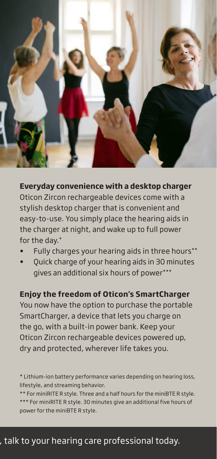

**Everyday convenience with a desktop charger** 

Oticon Zircon rechargeable devices come with a stylish desktop charger that is convenient and easy-to-use. You simply place the hearing aids in the charger at night, and wake up to full power for the day.\*

- Fully charges your hearing aids in three hours\*\*
- Quick charge of your hearing aids in 30 minutes gives an additional six hours of power\*\*\*

**Enjoy the freedom of Oticon's SmartCharger**

You now have the option to purchase the portable SmartCharger, a device that lets you charge on the go, with a built-in power bank. Keep your Oticon Zircon rechargeable devices powered up, dry and protected, wherever life takes you.

\* Lithium-ion battery performance varies depending on hearing loss, lifestyle, and streaming behavior.

\*\* For miniRITE R style. Three and a half hours for the miniBTE R style. \*\*\* For miniRITE R style. 30 minutes give an additional five hours of power for the miniBTE R style.